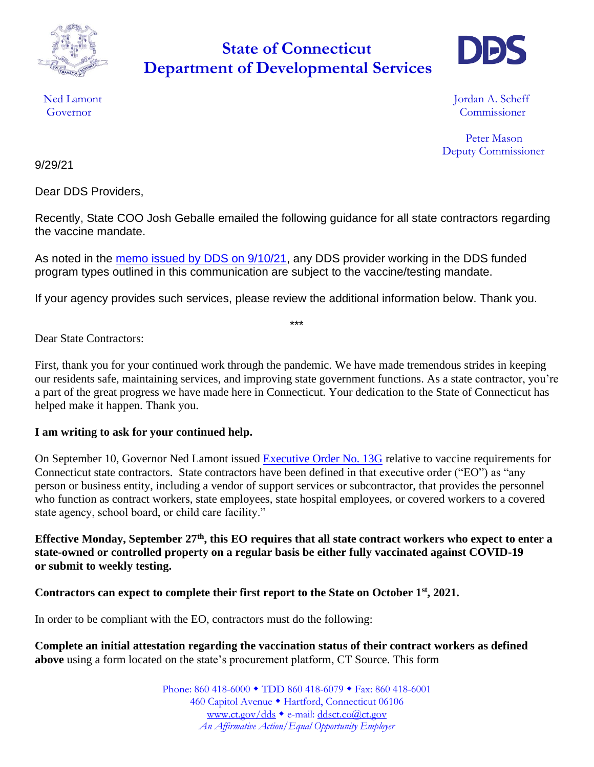

## **Department of Developmental Services State of Connecticut**



Ned Lamont **International Contract Contract Contract Contract Contract Contract Contract Contract Contract Contract Contract Contract Contract Contract Contract Contract Contract Contract Contract Contract Contract Contrac** Governor Commissioner

> Peter Mason Deputy Commissioner

9/29/21

Dear DDS Providers,

Recently, State COO Josh Geballe emailed the following guidance for all state contractors regarding the vaccine mandate.

As noted in the [memo issued by DDS on 9/10/21,](https://portal.ct.gov/-/media/DDS/COVID-19_2021/Memo_Vaccine_Mandate_9_10_21.pdf) any DDS provider working in the DDS funded program types outlined in this communication are subject to the vaccine/testing mandate.

If your agency provides such services, please review the additional information below. Thank you.

\*\*\*

Dear State Contractors:

First, thank you for your continued work through the pandemic. We have made tremendous strides in keeping our residents safe, maintaining services, and improving state government functions. As a state contractor, you're a part of the great progress we have made here in Connecticut. Your dedication to the State of Connecticut has helped make it happen. Thank you.

## **I am writing to ask for your continued help.**

On September 10, Governor Ned Lamont issued [Executive Order No. 13G](https://portal.ct.gov/-/media/Office-of-the-Governor/Executive-Orders/Lamont-Executive-Orders/Executive-Order-No-13G.pdf) relative to vaccine requirements for Connecticut state contractors. State contractors have been defined in that executive order ("EO") as "any person or business entity, including a vendor of support services or subcontractor, that provides the personnel who function as contract workers, state employees, state hospital employees, or covered workers to a covered state agency, school board, or child care facility."

**Effective Monday, September 27th, this EO requires that all state contract workers who expect to enter a state-owned or controlled property on a regular basis be either fully vaccinated against COVID-19 or submit to weekly testing.**

## **Contractors can expect to complete their first report to the State on October 1st, 2021.**

In order to be compliant with the EO, contractors must do the following:

**Complete an initial attestation regarding the vaccination status of their contract workers as defined above** using a form located on the state's procurement platform, CT Source. This form

> Phone: 860 418-6000 • TDD 860 418-6079 • Fax: 860 418-6001 460 Capitol Avenue · Hartford, Connecticut 06106 [www.ct.gov/dds](http://www.ct.gov/dds) • e-mail: [ddsct.co@ct.gov](mailto:ddsct.co@ct.gov) *An Affirmative Action/Equal Opportunity Employer*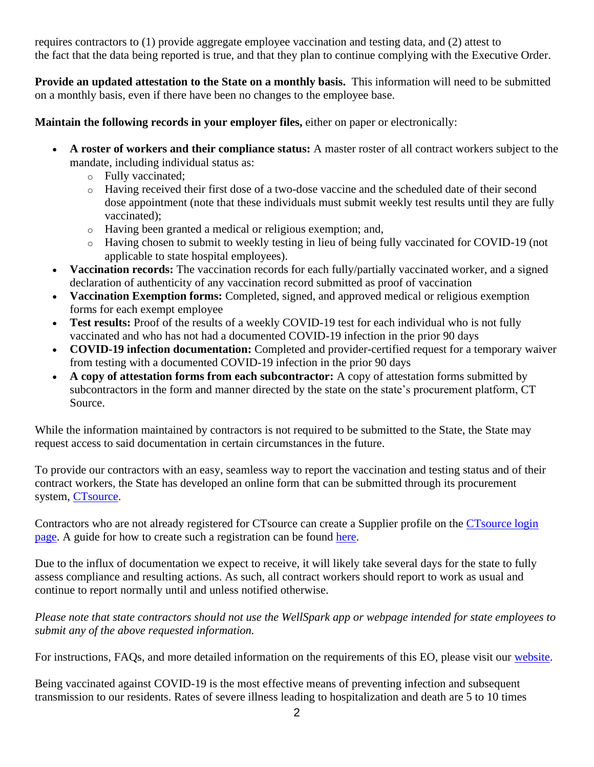requires contractors to (1) provide aggregate employee vaccination and testing data, and (2) attest to the fact that the data being reported is true, and that they plan to continue complying with the Executive Order.

**Provide an updated attestation to the State on a monthly basis.** This information will need to be submitted on a monthly basis, even if there have been no changes to the employee base.

**Maintain the following records in your employer files,** either on paper or electronically:

- **A roster of workers and their compliance status:** A master roster of all contract workers subject to the mandate, including individual status as:
	- o Fully vaccinated;
	- o Having received their first dose of a two-dose vaccine and the scheduled date of their second dose appointment (note that these individuals must submit weekly test results until they are fully vaccinated);
	- o Having been granted a medical or religious exemption; and,
	- o Having chosen to submit to weekly testing in lieu of being fully vaccinated for COVID-19 (not applicable to state hospital employees).
- **Vaccination records:** The vaccination records for each fully/partially vaccinated worker, and a signed declaration of authenticity of any vaccination record submitted as proof of vaccination
- **Vaccination Exemption forms:** Completed, signed, and approved medical or religious exemption forms for each exempt employee
- **Test results:** Proof of the results of a weekly COVID-19 test for each individual who is not fully vaccinated and who has not had a documented COVID-19 infection in the prior 90 days
- **COVID-19 infection documentation:** Completed and provider-certified request for a temporary waiver from testing with a documented COVID-19 infection in the prior 90 days
- **A copy of attestation forms from each subcontractor:** A copy of attestation forms submitted by subcontractors in the form and manner directed by the state on the state's procurement platform, CT Source.

While the information maintained by contractors is not required to be submitted to the State, the State may request access to said documentation in certain circumstances in the future.

To provide our contractors with an easy, seamless way to report the vaccination and testing status and of their contract workers, the State has developed an online form that can be submitted through its procurement system, [CTsource.](https://portal.ct.gov/DAS/CTSource/CTSource)

Contractors who are not already registered for CTsource can create a Supplier profile on the CTsource login [page.](https://portal.ct.gov/DAS/CTSource/CTSource) A guide for how to create such a registration can be found [here.](https://portal.ct.gov/-/media/DAS/CTSource/Documents/CTsource-Supplier-Registration-Portal-User-Guide-Final.pdf)

Due to the influx of documentation we expect to receive, it will likely take several days for the state to fully assess compliance and resulting actions. As such, all contract workers should report to work as usual and continue to report normally until and unless notified otherwise.

*Please note that state contractors should not use the WellSpark app or webpage intended for state employees to submit any of the above requested information.*

For instructions, FAQs, and more detailed information on the requirements of this EO, please visit our [website.](https://portal.ct.gov/DAS/Statewide-HR/Vaccine-App/SEVI/Contractors)

Being vaccinated against COVID-19 is the most effective means of preventing infection and subsequent transmission to our residents. Rates of severe illness leading to hospitalization and death are 5 to 10 times